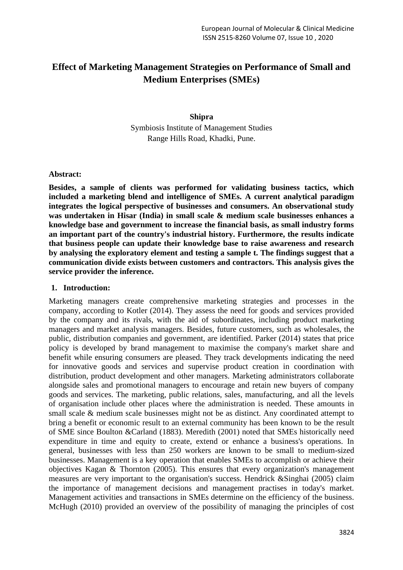# **Effect of Marketing Management Strategies on Performance of Small and Medium Enterprises (SMEs)**

#### **Shipra**

Symbiosis Institute of Management Studies Range Hills Road, Khadki, Pune.

#### **Abstract:**

**Besides, a sample of clients was performed for validating business tactics, which included a marketing blend and intelligence of SMEs. A current analytical paradigm integrates the logical perspective of businesses and consumers. An observational study was undertaken in Hisar (India) in small scale & medium scale businesses enhances a knowledge base and government to increase the financial basis, as small industry forms an important part of the country's industrial history. Furthermore, the results indicate that business people can update their knowledge base to raise awareness and research by analysing the exploratory element and testing a sample t. The findings suggest that a communication divide exists between customers and contractors. This analysis gives the service provider the inference.**

# **1. Introduction:**

Marketing managers create comprehensive marketing strategies and processes in the company, according to Kotler (2014). They assess the need for goods and services provided by the company and its rivals, with the aid of subordinates, including product marketing managers and market analysis managers. Besides, future customers, such as wholesales, the public, distribution companies and government, are identified. Parker (2014) states that price policy is developed by brand management to maximise the company's market share and benefit while ensuring consumers are pleased. They track developments indicating the need for innovative goods and services and supervise product creation in coordination with distribution, product development and other managers. Marketing administrators collaborate alongside sales and promotional managers to encourage and retain new buyers of company goods and services. The marketing, public relations, sales, manufacturing, and all the levels of organisation include other places where the administration is needed. These amounts in small scale & medium scale businesses might not be as distinct. Any coordinated attempt to bring a benefit or economic result to an external community has been known to be the result of SME since Boulton &Carland (1883). Meredith (2001) noted that SMEs historically need expenditure in time and equity to create, extend or enhance a business's operations. In general, businesses with less than 250 workers are known to be small to medium-sized businesses. Management is a key operation that enables SMEs to accomplish or achieve their objectives Kagan & Thornton (2005). This ensures that every organization's management measures are very important to the organisation's success. Hendrick &Singhai (2005) claim the importance of management decisions and management practises in today's market. Management activities and transactions in SMEs determine on the efficiency of the business. McHugh (2010) provided an overview of the possibility of managing the principles of cost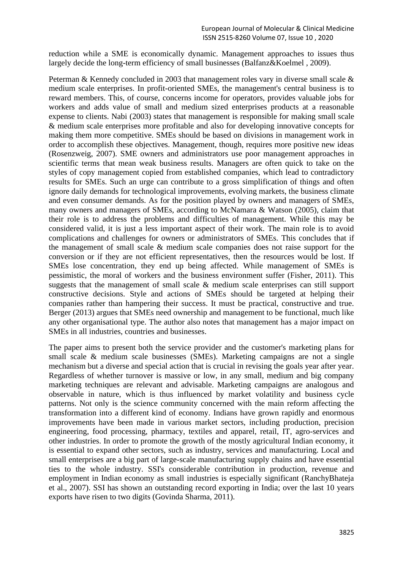reduction while a SME is economically dynamic. Management approaches to issues thus largely decide the long-term efficiency of small businesses (Balfanz&Koelmel , 2009).

Peterman & Kennedy concluded in 2003 that management roles vary in diverse small scale & medium scale enterprises. In profit-oriented SMEs, the management's central business is to reward members. This, of course, concerns income for operators, provides valuable jobs for workers and adds value of small and medium sized enterprises products at a reasonable expense to clients. Nabi (2003) states that management is responsible for making small scale & medium scale enterprises more profitable and also for developing innovative concepts for making them more competitive. SMEs should be based on divisions in management work in order to accomplish these objectives. Management, though, requires more positive new ideas (Rosenzweig, 2007). SME owners and administrators use poor management approaches in scientific terms that mean weak business results. Managers are often quick to take on the styles of copy management copied from established companies, which lead to contradictory results for SMEs. Such an urge can contribute to a gross simplification of things and often ignore daily demands for technological improvements, evolving markets, the business climate and even consumer demands. As for the position played by owners and managers of SMEs, many owners and managers of SMEs, according to McNamara & Watson (2005), claim that their role is to address the problems and difficulties of management. While this may be considered valid, it is just a less important aspect of their work. The main role is to avoid complications and challenges for owners or administrators of SMEs. This concludes that if the management of small scale & medium scale companies does not raise support for the conversion or if they are not efficient representatives, then the resources would be lost. If SMEs lose concentration, they end up being affected. While management of SMEs is pessimistic, the moral of workers and the business environment suffer (Fisher, 2011). This suggests that the management of small scale & medium scale enterprises can still support constructive decisions. Style and actions of SMEs should be targeted at helping their companies rather than hampering their success. It must be practical, constructive and true. Berger (2013) argues that SMEs need ownership and management to be functional, much like any other organisational type. The author also notes that management has a major impact on SMEs in all industries, countries and businesses.

The paper aims to present both the service provider and the customer's marketing plans for small scale & medium scale businesses (SMEs). Marketing campaigns are not a single mechanism but a diverse and special action that is crucial in revising the goals year after year. Regardless of whether turnover is massive or low, in any small, medium and big company marketing techniques are relevant and advisable. Marketing campaigns are analogous and observable in nature, which is thus influenced by market volatility and business cycle patterns. Not only is the science community concerned with the main reform affecting the transformation into a different kind of economy. Indians have grown rapidly and enormous improvements have been made in various market sectors, including production, precision engineering, food processing, pharmacy, textiles and apparel, retail, IT, agro-services and other industries. In order to promote the growth of the mostly agricultural Indian economy, it is essential to expand other sectors, such as industry, services and manufacturing. Local and small enterprises are a big part of large-scale manufacturing supply chains and have essential ties to the whole industry. SSI's considerable contribution in production, revenue and employment in Indian economy as small industries is especially significant (RanchyBhateja et al., 2007). SSI has shown an outstanding record exporting in India; over the last 10 years exports have risen to two digits (Govinda Sharma, 2011).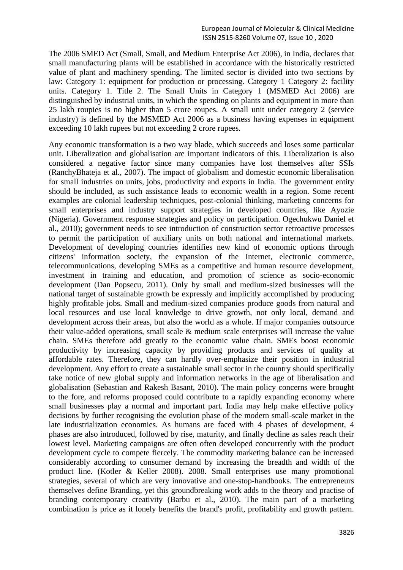The 2006 SMED Act (Small, Small, and Medium Enterprise Act 2006), in India, declares that small manufacturing plants will be established in accordance with the historically restricted value of plant and machinery spending. The limited sector is divided into two sections by law: Category 1: equipment for production or processing. Category 1 Category 2: facility units. Category 1. Title 2. The Small Units in Category 1 (MSMED Act 2006) are distinguished by industrial units, in which the spending on plants and equipment in more than 25 lakh roupies is no higher than 5 crore roupes. A small unit under category 2 (service industry) is defined by the MSMED Act 2006 as a business having expenses in equipment exceeding 10 lakh rupees but not exceeding 2 crore rupees.

Any economic transformation is a two way blade, which succeeds and loses some particular unit. Liberalization and globalisation are important indicators of this. Liberalization is also considered a negative factor since many companies have lost themselves after SSIs (RanchyBhateja et al., 2007). The impact of globalism and domestic economic liberalisation for small industries on units, jobs, productivity and exports in India. The government entity should be included, as such assistance leads to economic wealth in a region. Some recent examples are colonial leadership techniques, post-colonial thinking, marketing concerns for small enterprises and industry support strategies in developed countries, like Ayozie (Nigeria). Government response strategies and policy on participation. Ogechukwu Daniel et al., 2010); government needs to see introduction of construction sector retroactive processes to permit the participation of auxiliary units on both national and international markets. Development of developing countries identifies new kind of economic options through citizens' information society, the expansion of the Internet, electronic commerce, telecommunications, developing SMEs as a competitive and human resource development, investment in training and education, and promotion of science as socio-economic development (Dan Popsecu, 2011). Only by small and medium-sized businesses will the national target of sustainable growth be expressly and implicitly accomplished by producing highly profitable jobs. Small and medium-sized companies produce goods from natural and local resources and use local knowledge to drive growth, not only local, demand and development across their areas, but also the world as a whole. If major companies outsource their value-added operations, small scale & medium scale enterprises will increase the value chain. SMEs therefore add greatly to the economic value chain. SMEs boost economic productivity by increasing capacity by providing products and services of quality at affordable rates. Therefore, they can hardly over-emphasize their position in industrial development. Any effort to create a sustainable small sector in the country should specifically take notice of new global supply and information networks in the age of liberalisation and globalisation (Sebastian and Rakesh Basant, 2010). The main policy concerns were brought to the fore, and reforms proposed could contribute to a rapidly expanding economy where small businesses play a normal and important part. India may help make effective policy decisions by further recognising the evolution phase of the modern small-scale market in the late industrialization economies. As humans are faced with 4 phases of development, 4 phases are also introduced, followed by rise, maturity, and finally decline as sales reach their lowest level. Marketing campaigns are often often developed concurrently with the product development cycle to compete fiercely. The commodity marketing balance can be increased considerably according to consumer demand by increasing the breadth and width of the product line. (Kotler & Keller 2008). 2008. Small enterprises use many promotional strategies, several of which are very innovative and one-stop-handbooks. The entrepreneurs themselves define Branding, yet this groundbreaking work adds to the theory and practise of branding contemporary creativity (Barbu et al., 2010). The main part of a marketing combination is price as it lonely benefits the brand's profit, profitability and growth pattern.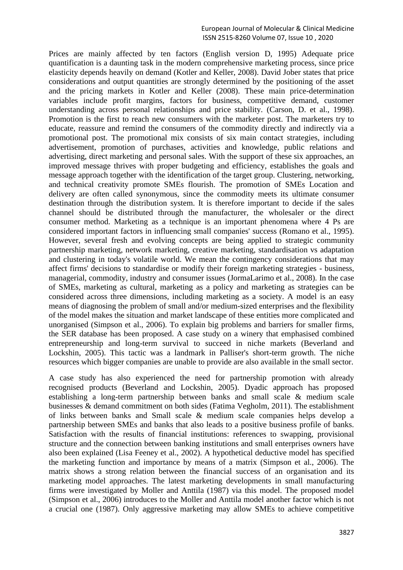Prices are mainly affected by ten factors (English version D, 1995) Adequate price quantification is a daunting task in the modern comprehensive marketing process, since price elasticity depends heavily on demand (Kotler and Keller, 2008). David Jober states that price considerations and output quantities are strongly determined by the positioning of the asset and the pricing markets in Kotler and Keller (2008). These main price-determination variables include profit margins, factors for business, competitive demand, customer understanding across personal relationships and price stability. (Carson, D. et al., 1998). Promotion is the first to reach new consumers with the marketer post. The marketers try to educate, reassure and remind the consumers of the commodity directly and indirectly via a promotional post. The promotional mix consists of six main contact strategies, including advertisement, promotion of purchases, activities and knowledge, public relations and advertising, direct marketing and personal sales. With the support of these six approaches, an improved message thrives with proper budgeting and efficiency, establishes the goals and message approach together with the identification of the target group. Clustering, networking, and technical creativity promote SMEs flourish. The promotion of SMEs Location and delivery are often called synonymous, since the commodity meets its ultimate consumer destination through the distribution system. It is therefore important to decide if the sales channel should be distributed through the manufacturer, the wholesaler or the direct consumer method. Marketing as a technique is an important phenomena where 4 Ps are considered important factors in influencing small companies' success (Romano et al., 1995). However, several fresh and evolving concepts are being applied to strategic community partnership marketing, network marketing, creative marketing, standardisation vs adaptation and clustering in today's volatile world. We mean the contingency considerations that may affect firms' decisions to standardise or modify their foreign marketing strategies - business, managerial, commodity, industry and consumer issues (JormaLarimo et al., 2008). In the case of SMEs, marketing as cultural, marketing as a policy and marketing as strategies can be considered across three dimensions, including marketing as a society. A model is an easy means of diagnosing the problem of small and/or medium-sized enterprises and the flexibility of the model makes the situation and market landscape of these entities more complicated and unorganised (Simpson et al., 2006). To explain big problems and barriers for smaller firms, the SER database has been proposed. A case study on a winery that emphasised combined entrepreneurship and long-term survival to succeed in niche markets (Beverland and Lockshin, 2005). This tactic was a landmark in Palliser's short-term growth. The niche resources which bigger companies are unable to provide are also available in the small sector.

A case study has also experienced the need for partnership promotion with already recognised products (Beverland and Lockshin, 2005). Dyadic approach has proposed establishing a long-term partnership between banks and small scale & medium scale businesses & demand commitment on both sides (Fatima Vegholm, 2011). The establishment of links between banks and Small scale & medium scale companies helps develop a partnership between SMEs and banks that also leads to a positive business profile of banks. Satisfaction with the results of financial institutions: references to swapping, provisional structure and the connection between banking institutions and small enterprises owners have also been explained (Lisa Feeney et al., 2002). A hypothetical deductive model has specified the marketing function and importance by means of a matrix (Simpson et al., 2006). The matrix shows a strong relation between the financial success of an organisation and its marketing model approaches. The latest marketing developments in small manufacturing firms were investigated by Moller and Anttila (1987) via this model. The proposed model (Simpson et al., 2006) introduces to the Moller and Anttila model another factor which is not a crucial one (1987). Only aggressive marketing may allow SMEs to achieve competitive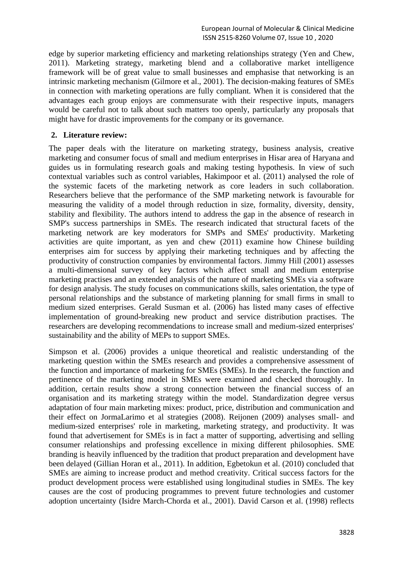edge by superior marketing efficiency and marketing relationships strategy (Yen and Chew, 2011). Marketing strategy, marketing blend and a collaborative market intelligence framework will be of great value to small businesses and emphasise that networking is an intrinsic marketing mechanism (Gilmore et al., 2001). The decision-making features of SMEs in connection with marketing operations are fully compliant. When it is considered that the advantages each group enjoys are commensurate with their respective inputs, managers would be careful not to talk about such matters too openly, particularly any proposals that might have for drastic improvements for the company or its governance.

#### **2. Literature review:**

The paper deals with the literature on marketing strategy, business analysis, creative marketing and consumer focus of small and medium enterprises in Hisar area of Haryana and guides us in formulating research goals and making testing hypothesis. In view of such contextual variables such as control variables, Hakimpoor et al. (2011) analysed the role of the systemic facets of the marketing network as core leaders in such collaboration. Researchers believe that the performance of the SMP marketing network is favourable for measuring the validity of a model through reduction in size, formality, diversity, density, stability and flexibility. The authors intend to address the gap in the absence of research in SMP's success partnerships in SMEs. The research indicated that structural facets of the marketing network are key moderators for SMPs and SMEs' productivity. Marketing activities are quite important, as yen and chew (2011) examine how Chinese building enterprises aim for success by applying their marketing techniques and by affecting the productivity of construction companies by environmental factors. Jimmy Hill (2001) assesses a multi-dimensional survey of key factors which affect small and medium enterprise marketing practises and an extended analysis of the nature of marketing SMEs via a software for design analysis. The study focuses on communications skills, sales orientation, the type of personal relationships and the substance of marketing planning for small firms in small to medium sized enterprises. Gerald Susman et al. (2006) has listed many cases of effective implementation of ground-breaking new product and service distribution practises. The researchers are developing recommendations to increase small and medium-sized enterprises' sustainability and the ability of MEPs to support SMEs.

Simpson et al. (2006) provides a unique theoretical and realistic understanding of the marketing question within the SMEs research and provides a comprehensive assessment of the function and importance of marketing for SMEs (SMEs). In the research, the function and pertinence of the marketing model in SMEs were examined and checked thoroughly. In addition, certain results show a strong connection between the financial success of an organisation and its marketing strategy within the model. Standardization degree versus adaptation of four main marketing mixes: product, price, distribution and communication and their effect on JormaLarimo et al strategies (2008). Reijonen (2009) analyses small- and medium-sized enterprises' role in marketing, marketing strategy, and productivity. It was found that advertisement for SMEs is in fact a matter of supporting, advertising and selling consumer relationships and professing excellence in mixing different philosophies. SME branding is heavily influenced by the tradition that product preparation and development have been delayed (Gillian Horan et al., 2011). In addition, Egbetokun et al. (2010) concluded that SMEs are aiming to increase product and method creativity. Critical success factors for the product development process were established using longitudinal studies in SMEs. The key causes are the cost of producing programmes to prevent future technologies and customer adoption uncertainty (Isidre March-Chorda et al., 2001). David Carson et al. (1998) reflects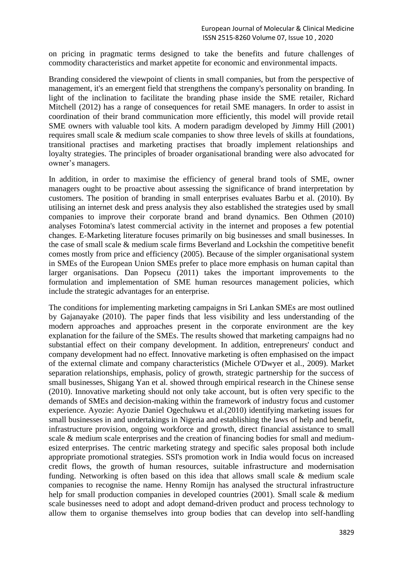on pricing in pragmatic terms designed to take the benefits and future challenges of commodity characteristics and market appetite for economic and environmental impacts.

Branding considered the viewpoint of clients in small companies, but from the perspective of management, it's an emergent field that strengthens the company's personality on branding. In light of the inclination to facilitate the branding phase inside the SME retailer, Richard Mitchell (2012) has a range of consequences for retail SME managers. In order to assist in coordination of their brand communication more efficiently, this model will provide retail SME owners with valuable tool kits. A modern paradigm developed by Jimmy Hill (2001) requires small scale & medium scale companies to show three levels of skills at foundations, transitional practises and marketing practises that broadly implement relationships and loyalty strategies. The principles of broader organisational branding were also advocated for owner's managers.

In addition, in order to maximise the efficiency of general brand tools of SME, owner managers ought to be proactive about assessing the significance of brand interpretation by customers. The position of branding in small enterprises evaluates Barbu et al. (2010). By utilising an internet desk and press analysis they also established the strategies used by small companies to improve their corporate brand and brand dynamics. Ben Othmen (2010) analyses Fotomina's latest commercial activity in the internet and proposes a few potential changes. E-Marketing literature focuses primarily on big businesses and small businesses. In the case of small scale & medium scale firms Beverland and Lockshin the competitive benefit comes mostly from price and efficiency (2005). Because of the simpler organisational system in SMEs of the European Union SMEs prefer to place more emphasis on human capital than larger organisations. Dan Popsecu (2011) takes the important improvements to the formulation and implementation of SME human resources management policies, which include the strategic advantages for an enterprise.

The conditions for implementing marketing campaigns in Sri Lankan SMEs are most outlined by Gajanayake (2010). The paper finds that less visibility and less understanding of the modern approaches and approaches present in the corporate environment are the key explanation for the failure of the SMEs. The results showed that marketing campaigns had no substantial effect on their company development. In addition, entrepreneurs' conduct and company development had no effect. Innovative marketing is often emphasised on the impact of the external climate and company characteristics (Michele O'Dwyer et al., 2009). Market separation relationships, emphasis, policy of growth, strategic partnership for the success of small businesses, Shigang Yan et al. showed through empirical research in the Chinese sense (2010). Innovative marketing should not only take account, but is often very specific to the demands of SMEs and decision-making within the framework of industry focus and customer experience. Ayozie: Ayozie Daniel Ogechukwu et al.(2010) identifying marketing issues for small businesses in and undertakings in Nigeria and establishing the laws of help and benefit, infrastructure provision, ongoing workforce and growth, direct financial assistance to small scale & medium scale enterprises and the creation of financing bodies for small and mediumesized enterprises. The centric marketing strategy and specific sales proposal both include appropriate promotional strategies. SSI's promotion work in India would focus on increased credit flows, the growth of human resources, suitable infrastructure and modernisation funding. Networking is often based on this idea that allows small scale & medium scale companies to recognise the name. Henny Romijn has analysed the structural infrastructure help for small production companies in developed countries (2001). Small scale & medium scale businesses need to adopt and adopt demand-driven product and process technology to allow them to organise themselves into group bodies that can develop into self-handling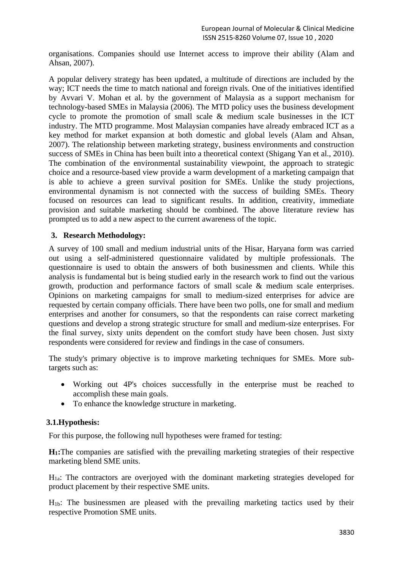organisations. Companies should use Internet access to improve their ability (Alam and Ahsan, 2007).

A popular delivery strategy has been updated, a multitude of directions are included by the way; ICT needs the time to match national and foreign rivals. One of the initiatives identified by Avvari V. Mohan et al. by the government of Malaysia as a support mechanism for technology-based SMEs in Malaysia (2006). The MTD policy uses the business development cycle to promote the promotion of small scale & medium scale businesses in the ICT industry. The MTD programme. Most Malaysian companies have already embraced ICT as a key method for market expansion at both domestic and global levels (Alam and Ahsan, 2007). The relationship between marketing strategy, business environments and construction success of SMEs in China has been built into a theoretical context (Shigang Yan et al., 2010). The combination of the environmental sustainability viewpoint, the approach to strategic choice and a resource-based view provide a warm development of a marketing campaign that is able to achieve a green survival position for SMEs. Unlike the study projections, environmental dynamism is not connected with the success of building SMEs. Theory focused on resources can lead to significant results. In addition, creativity, immediate provision and suitable marketing should be combined. The above literature review has prompted us to add a new aspect to the current awareness of the topic.

## **3. Research Methodology:**

A survey of 100 small and medium industrial units of the Hisar, Haryana form was carried out using a self-administered questionnaire validated by multiple professionals. The questionnaire is used to obtain the answers of both businessmen and clients. While this analysis is fundamental but is being studied early in the research work to find out the various growth, production and performance factors of small scale & medium scale enterprises. Opinions on marketing campaigns for small to medium-sized enterprises for advice are requested by certain company officials. There have been two polls, one for small and medium enterprises and another for consumers, so that the respondents can raise correct marketing questions and develop a strong strategic structure for small and medium-size enterprises. For the final survey, sixty units dependent on the comfort study have been chosen. Just sixty respondents were considered for review and findings in the case of consumers.

The study's primary objective is to improve marketing techniques for SMEs. More subtargets such as:

- Working out 4P's choices successfully in the enterprise must be reached to accomplish these main goals.
- To enhance the knowledge structure in marketing.

#### **3.1.Hypothesis:**

For this purpose, the following null hypotheses were framed for testing:

**H1:**The companies are satisfied with the prevailing marketing strategies of their respective marketing blend SME units.

 $H_{1a}$ : The contractors are overjoyed with the dominant marketing strategies developed for product placement by their respective SME units.

H1b: The businessmen are pleased with the prevailing marketing tactics used by their respective Promotion SME units.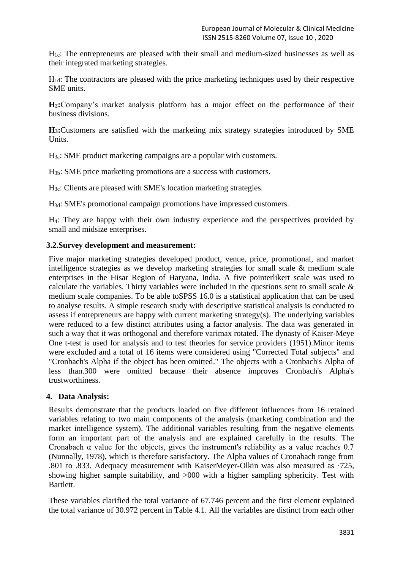$H<sub>1c</sub>$ : The entrepreneurs are pleased with their small and medium-sized businesses as well as their integrated marketing strategies.

 $H_{1d}$ : The contractors are pleased with the price marketing techniques used by their respective SME units.

**H2:**Company's market analysis platform has a major effect on the performance of their business divisions.

**H3:**Customers are satisfied with the marketing mix strategy strategies introduced by SME Units.

H3a: SME product marketing campaigns are a popular with customers.

H3b: SME price marketing promotions are a success with customers.

H3c: Clients are pleased with SME's location marketing strategies.

H3d: SME's promotional campaign promotions have impressed customers.

H4: They are happy with their own industry experience and the perspectives provided by small and midsize enterprises.

## **3.2.Survey development and measurement:**

Five major marketing strategies developed product, venue, price, promotional, and market intelligence strategies as we develop marketing strategies for small scale & medium scale enterprises in the Hisar Region of Haryana, India. A five pointerlikert scale was used to calculate the variables. Thirty variables were included in the questions sent to small scale & medium scale companies. To be able toSPSS 16.0 is a statistical application that can be used to analyse results. A simple research study with descriptive statistical analysis is conducted to assess if entrepreneurs are happy with current marketing strategy(s). The underlying variables were reduced to a few distinct attributes using a factor analysis. The data was generated in such a way that it was orthogonal and therefore varimax rotated. The dynasty of Kaiser-Meye One t-test is used for analysis and to test theories for service providers (1951).Minor items were excluded and a total of 16 items were considered using "Corrected Total subjects" and "Cronbach's Alpha if the object has been omitted." The objects with a Cronbach's Alpha of less than.300 were omitted because their absence improves Cronbach's Alpha's trustworthiness.

#### **4. Data Analysis:**

Results demonstrate that the products loaded on five different influences from 16 retained variables relating to two main components of the analysis (marketing combination and the market intelligence system). The additional variables resulting from the negative elements form an important part of the analysis and are explained carefully in the results. The Cronabach  $\alpha$  value for the objects, gives the instrument's reliability as a value reaches 0.7 (Nunnally, 1978), which is therefore satisfactory. The Alpha values of Cronabach range from .801 to .833. Adequacy measurement with KaiserMeyer-Olkin was also measured as ·725, showing higher sample suitability, and >000 with a higher sampling sphericity. Test with Bartlett.

These variables clarified the total variance of 67.746 percent and the first element explained the total variance of 30.972 percent in Table 4.1. All the variables are distinct from each other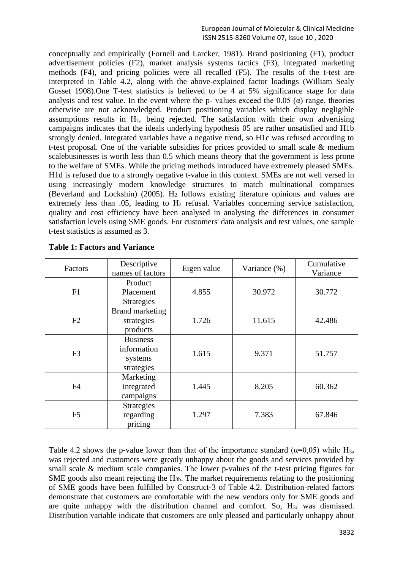conceptually and empirically (Fornell and Larcker, 1981). Brand positioning (F1), product advertisement policies (F2), market analysis systems tactics (F3), integrated marketing methods (F4), and pricing policies were all recalled (F5). The results of the t-test are interpreted in Table 4.2, along with the above-explained factor loadings (William Sealy Gosset 1908).One T-test statistics is believed to be 4 at 5% significance stage for data analysis and test value. In the event where the p- values exceed the 0.05 ( $\alpha$ ) range, theories otherwise are not acknowledged. Product positioning variables which display negligible assumptions results in  $H_{1a}$  being rejected. The satisfaction with their own advertising campaigns indicates that the ideals underlying hypothesis 05 are rather unsatisfied and H1b strongly denied. Integrated variables have a negative trend, so H1c was refused according to t-test proposal. One of the variable subsidies for prices provided to small scale & medium scalebusinesses is worth less than 0.5 which means theory that the government is less prone to the welfare of SMEs. While the pricing methods introduced have extremely pleased SMEs. H1d is refused due to a strongly negative t-value in this context. SMEs are not well versed in using increasingly modern knowledge structures to match multinational companies (Beverland and Lockshin) (2005).  $H_2$  follows existing literature opinions and values are extremely less than  $.05$ , leading to  $H_2$  refusal. Variables concerning service satisfaction, quality and cost efficiency have been analysed in analysing the differences in consumer satisfaction levels using SME goods. For customers' data analysis and test values, one sample t-test statistics is assumed as 3.

| Factors        | Descriptive<br>names of factors                                | Eigen value | Variance (%) | Cumulative<br>Variance |  |
|----------------|----------------------------------------------------------------|-------------|--------------|------------------------|--|
| F1             | Product<br>4.855<br>Placement                                  |             | 30.972       | 30.772                 |  |
| F2             | <b>Strategies</b><br>Brand marketing<br>strategies<br>products | 1.726       | 11.615       | 42.486                 |  |
| F <sub>3</sub> | <b>Business</b><br>information<br>systems<br>strategies        | 1.615       | 9.371        | 51.757                 |  |
| F <sub>4</sub> | Marketing<br>integrated<br>campaigns                           | 1.445       | 8.205        | 60.362                 |  |
| F <sub>5</sub> | <b>Strategies</b><br>regarding<br>pricing                      | 1.297       | 7.383        | 67.846                 |  |

|  |  | <b>Table 1: Factors and Variance</b> |
|--|--|--------------------------------------|
|  |  |                                      |

Table 4.2 shows the p-value lower than that of the importance standard ( $\alpha$ =0,05) while H<sub>3a</sub> was rejected and customers were greatly unhappy about the goods and services provided by small scale & medium scale companies. The lower p-values of the t-test pricing figures for SME goods also meant rejecting the  $H_{3b}$ . The market requirements relating to the positioning of SME goods have been fulfilled by Construct-3 of Table 4.2. Distribution-related factors demonstrate that customers are comfortable with the new vendors only for SME goods and are quite unhappy with the distribution channel and comfort. So,  $H_{3c}$  was dismissed. Distribution variable indicate that customers are only pleased and particularly unhappy about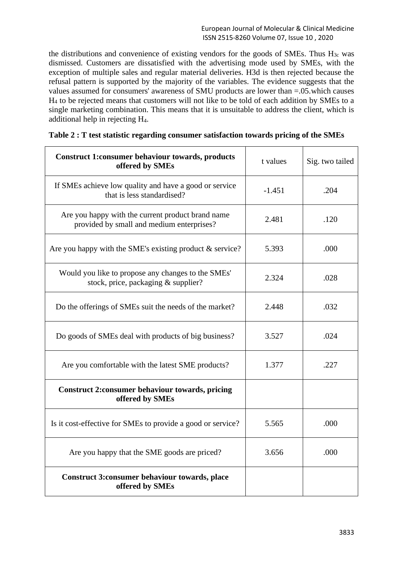the distributions and convenience of existing vendors for the goods of SMEs. Thus  $H_{3c}$  was dismissed. Customers are dissatisfied with the advertising mode used by SMEs, with the exception of multiple sales and regular material deliveries. H3d is then rejected because the refusal pattern is supported by the majority of the variables. The evidence suggests that the values assumed for consumers' awareness of SMU products are lower than =.05.which causes H<sup>4</sup> to be rejected means that customers will not like to be told of each addition by SMEs to a single marketing combination. This means that it is unsuitable to address the client, which is additional help in rejecting H4.

| <b>Construct 1:consumer behaviour towards, products</b><br>offered by SMEs                     | t values | Sig. two tailed |
|------------------------------------------------------------------------------------------------|----------|-----------------|
| If SMEs achieve low quality and have a good or service<br>that is less standardised?           | $-1.451$ | .204            |
| Are you happy with the current product brand name<br>provided by small and medium enterprises? | 2.481    | .120            |
| Are you happy with the SME's existing product $&$ service?                                     | 5.393    | .000            |
| Would you like to propose any changes to the SMEs'<br>stock, price, packaging & supplier?      | 2.324    | .028            |
| Do the offerings of SMEs suit the needs of the market?                                         | 2.448    | .032            |
| Do goods of SMEs deal with products of big business?                                           | 3.527    | .024            |
| Are you comfortable with the latest SME products?                                              | 1.377    | .227            |
| <b>Construct 2: consumer behaviour towards, pricing</b><br>offered by SMEs                     |          |                 |
| Is it cost-effective for SMEs to provide a good or service?                                    | 5.565    | .000            |
| Are you happy that the SME goods are priced?                                                   | 3.656    | .000            |
| <b>Construct 3:consumer behaviour towards, place</b><br>offered by SMEs                        |          |                 |

|  |  | Table 2 : T test statistic regarding consumer satisfaction towards pricing of the SMEs |  |  |
|--|--|----------------------------------------------------------------------------------------|--|--|
|  |  |                                                                                        |  |  |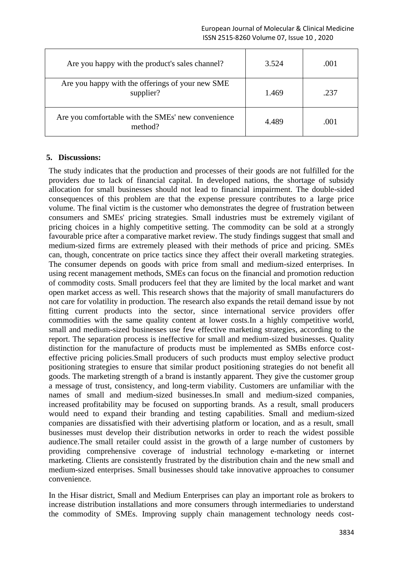| Are you happy with the product's sales channel?               | 3.524 | .001 |
|---------------------------------------------------------------|-------|------|
| Are you happy with the offerings of your new SME<br>supplier? | 1.469 | .237 |
| Are you comfortable with the SMEs' new convenience<br>method? | 4.489 | .001 |

#### **5. Discussions:**

The study indicates that the production and processes of their goods are not fulfilled for the providers due to lack of financial capital. In developed nations, the shortage of subsidy allocation for small businesses should not lead to financial impairment. The double-sided consequences of this problem are that the expense pressure contributes to a large price volume. The final victim is the customer who demonstrates the degree of frustration between consumers and SMEs' pricing strategies. Small industries must be extremely vigilant of pricing choices in a highly competitive setting. The commodity can be sold at a strongly favourable price after a comparative market review. The study findings suggest that small and medium-sized firms are extremely pleased with their methods of price and pricing. SMEs can, though, concentrate on price tactics since they affect their overall marketing strategies. The consumer depends on goods with price from small and medium-sized enterprises. In using recent management methods, SMEs can focus on the financial and promotion reduction of commodity costs. Small producers feel that they are limited by the local market and want open market access as well. This research shows that the majority of small manufacturers do not care for volatility in production. The research also expands the retail demand issue by not fitting current products into the sector, since international service providers offer commodities with the same quality content at lower costs.In a highly competitive world, small and medium-sized businesses use few effective marketing strategies, according to the report. The separation process is ineffective for small and medium-sized businesses. Quality distinction for the manufacture of products must be implemented as SMBs enforce costeffective pricing policies.Small producers of such products must employ selective product positioning strategies to ensure that similar product positioning strategies do not benefit all goods. The marketing strength of a brand is instantly apparent. They give the customer group a message of trust, consistency, and long-term viability. Customers are unfamiliar with the names of small and medium-sized businesses.In small and medium-sized companies, increased profitability may be focused on supporting brands. As a result, small producers would need to expand their branding and testing capabilities. Small and medium-sized companies are dissatisfied with their advertising platform or location, and as a result, small businesses must develop their distribution networks in order to reach the widest possible audience.The small retailer could assist in the growth of a large number of customers by providing comprehensive coverage of industrial technology e-marketing or internet marketing. Clients are consistently frustrated by the distribution chain and the new small and medium-sized enterprises. Small businesses should take innovative approaches to consumer convenience.

In the Hisar district, Small and Medium Enterprises can play an important role as brokers to increase distribution installations and more consumers through intermediaries to understand the commodity of SMEs. Improving supply chain management technology needs cost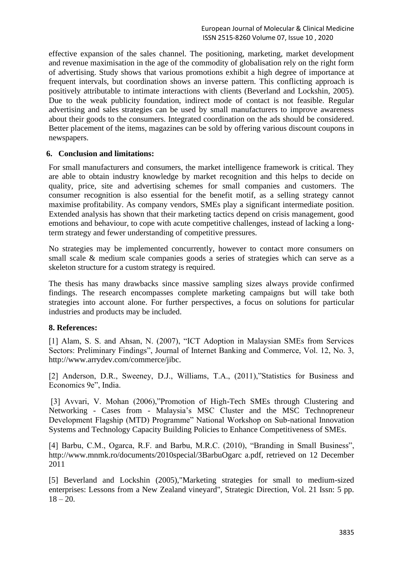effective expansion of the sales channel. The positioning, marketing, market development and revenue maximisation in the age of the commodity of globalisation rely on the right form of advertising. Study shows that various promotions exhibit a high degree of importance at frequent intervals, but coordination shows an inverse pattern. This conflicting approach is positively attributable to intimate interactions with clients (Beverland and Lockshin, 2005). Due to the weak publicity foundation, indirect mode of contact is not feasible. Regular advertising and sales strategies can be used by small manufacturers to improve awareness about their goods to the consumers. Integrated coordination on the ads should be considered. Better placement of the items, magazines can be sold by offering various discount coupons in newspapers.

# **6. Conclusion and limitations:**

For small manufacturers and consumers, the market intelligence framework is critical. They are able to obtain industry knowledge by market recognition and this helps to decide on quality, price, site and advertising schemes for small companies and customers. The consumer recognition is also essential for the benefit motif, as a selling strategy cannot maximise profitability. As company vendors, SMEs play a significant intermediate position. Extended analysis has shown that their marketing tactics depend on crisis management, good emotions and behaviour, to cope with acute competitive challenges, instead of lacking a longterm strategy and fewer understanding of competitive pressures.

No strategies may be implemented concurrently, however to contact more consumers on small scale & medium scale companies goods a series of strategies which can serve as a skeleton structure for a custom strategy is required.

The thesis has many drawbacks since massive sampling sizes always provide confirmed findings. The research encompasses complete marketing campaigns but will take both strategies into account alone. For further perspectives, a focus on solutions for particular industries and products may be included.

#### **8. References:**

[1] Alam, S. S. and Ahsan, N. (2007), "ICT Adoption in Malaysian SMEs from Services Sectors: Preliminary Findings", Journal of Internet Banking and Commerce, Vol. 12, No. 3, http://www.arrydev.com/commerce/jibc.

[2] Anderson, D.R., Sweeney, D.J., Williams, T.A., (2011),"Statistics for Business and Economics 9e", India.

[3] Avvari, V. Mohan (2006),"Promotion of High-Tech SMEs through Clustering and Networking - Cases from - Malaysia's MSC Cluster and the MSC Technopreneur Development Flagship (MTD) Programme" National Workshop on Sub-national Innovation Systems and Technology Capacity Building Policies to Enhance Competitiveness of SMEs.

[4] Barbu, C.M., Ogarca, R.F. and Barbu, M.R.C. (2010), "Branding in Small Business", http://www.mnmk.ro/documents/2010special/3BarbuOgarc a.pdf, retrieved on 12 December 2011

[5] Beverland and Lockshin (2005),"Marketing strategies for small to medium-sized enterprises: Lessons from a New Zealand vineyard", Strategic Direction, Vol. 21 Issn: 5 pp.  $18 - 20.$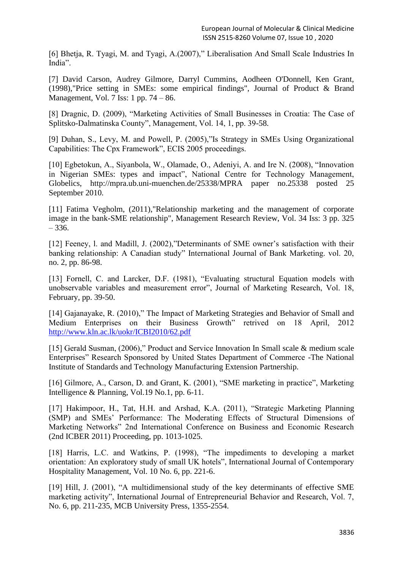[6] Bhetja, R. Tyagi, M. and Tyagi, A.(2007)," Liberalisation And Small Scale Industries In India".

[7] David Carson, Audrey Gilmore, Darryl Cummins, Aodheen O'Donnell, Ken Grant, (1998),"Price setting in SMEs: some empirical findings", Journal of Product & Brand Management, Vol. 7 Iss: 1 pp. 74 – 86.

[8] Dragnic, D. (2009), "Marketing Activities of Small Businesses in Croatia: The Case of Splitsko-Dalmatinska County", Management, Vol. 14, 1, pp. 39-58.

[9] Duhan, S., Levy, M. and Powell, P. (2005),"Is Strategy in SMEs Using Organizational Capabilities: The Cpx Framework", ECIS 2005 proceedings.

[10] Egbetokun, A., Siyanbola, W., Olamade, O., Adeniyi, A. and Ire N. (2008), "Innovation in Nigerian SMEs: types and impact", National Centre for Technology Management, Globelics, http://mpra.ub.uni-muenchen.de/25338/MPRA paper no.25338 posted 25 September 2010.

[11] Fatima Vegholm, (2011),"Relationship marketing and the management of corporate image in the bank-SME relationship", Management Research Review, Vol. 34 Iss: 3 pp. 325  $-336.$ 

[12] Feeney, l. and Madill, J. (2002),"Determinants of SME owner's satisfaction with their banking relationship: A Canadian study" International Journal of Bank Marketing. vol. 20, no. 2, pp. 86-98.

[13] Fornell, C. and Larcker, D.F. (1981), "Evaluating structural Equation models with unobservable variables and measurement error", Journal of Marketing Research, Vol. 18, February, pp. 39-50.

[14] Gajanayake, R. (2010)," The Impact of Marketing Strategies and Behavior of Small and Medium Enterprises on their Business Growth" retrived on 18 April, 2012 <http://www.kln.ac.lk/uokr/ICBI2010/62.pdf>

[15] Gerald Susman, (2006)," Product and Service Innovation In Small scale & medium scale Enterprises" Research Sponsored by United States Department of Commerce -The National Institute of Standards and Technology Manufacturing Extension Partnership.

[16] Gilmore, A., Carson, D. and Grant, K. (2001), "SME marketing in practice", Marketing Intelligence & Planning, Vol.19 No.1, pp. 6-11.

[17] Hakimpoor, H., Tat, H.H. and Arshad, K.A. (2011), "Strategic Marketing Planning (SMP) and SMEs' Performance: The Moderating Effects of Structural Dimensions of Marketing Networks" 2nd International Conference on Business and Economic Research (2nd ICBER 2011) Proceeding, pp. 1013-1025.

[18] Harris, L.C. and Watkins, P. (1998), "The impediments to developing a market orientation: An exploratory study of small UK hotels", International Journal of Contemporary Hospitality Management, Vol. 10 No. 6, pp. 221-6.

[19] Hill, J. (2001), "A multidimensional study of the key determinants of effective SME marketing activity", International Journal of Entrepreneurial Behavior and Research, Vol. 7, No. 6, pp. 211-235, MCB University Press, 1355-2554.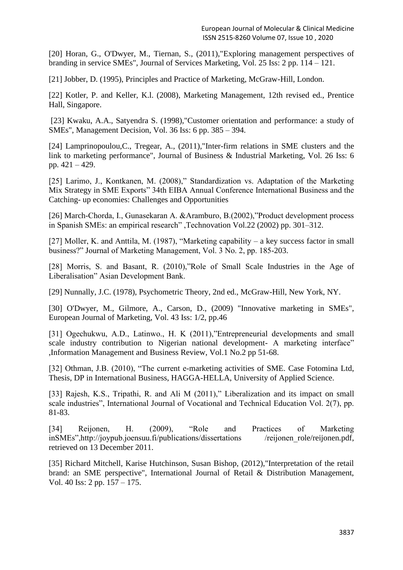[20] Horan, G., O'Dwyer, M., Tiernan, S., (2011),"Exploring management perspectives of branding in service SMEs", Journal of Services Marketing, Vol. 25 Iss: 2 pp. 114 – 121.

[21] Jobber, D. (1995), Principles and Practice of Marketing, McGraw-Hill, London.

[22] Kotler, P. and Keller, K.l. (2008), Marketing Management, 12th revised ed., Prentice Hall, Singapore.

[23] Kwaku, A.A., Satyendra S. (1998),"Customer orientation and performance: a study of SMEs", Management Decision, Vol. 36 Iss: 6 pp. 385 – 394.

[24] Lamprinopoulou,C., Tregear, A., (2011),"Inter-firm relations in SME clusters and the link to marketing performance", Journal of Business & Industrial Marketing, Vol. 26 Iss: 6 pp. 421 – 429.

[25] Larimo, J., Kontkanen, M. (2008)," Standardization vs. Adaptation of the Marketing Mix Strategy in SME Exports" 34th EIBA Annual Conference International Business and the Catching- up economies: Challenges and Opportunities

[26] March-Chorda, I., Gunasekaran A. &Aramburo, B.(2002),"Product development process in Spanish SMEs: an empirical research" ,Technovation Vol.22 (2002) pp. 301–312.

[27] Moller, K. and Anttila, M. (1987), "Marketing capability – a key success factor in small business?" Journal of Marketing Management, Vol. 3 No. 2, pp. 185-203.

[28] Morris, S. and Basant, R. (2010),"Role of Small Scale Industries in the Age of Liberalisation" Asian Development Bank.

[29] Nunnally, J.C. (1978), Psychometric Theory, 2nd ed., McGraw-Hill, New York, NY.

[30] O'Dwyer, M., Gilmore, A., Carson, D., (2009) "Innovative marketing in SMEs", European Journal of Marketing, Vol. 43 Iss: 1/2, pp.46

[31] Ogechukwu, A.D., Latinwo., H. K (2011),"Entrepreneurial developments and small scale industry contribution to Nigerian national development- A marketing interface" ,Information Management and Business Review, Vol.1 No.2 pp 51-68.

[32] Othman, J.B. (2010), "The current e-marketing activities of SME. Case Fotomina Ltd, Thesis, DP in International Business, HAGGA-HELLA, University of Applied Science.

[33] Rajesh, K.S., Tripathi, R. and Ali M (2011)," Liberalization and its impact on small scale industries", International Journal of Vocational and Technical Education Vol. 2(7), pp. 81-83.

[34] Reijonen, H. (2009), "Role and Practices of Marketing inSMEs",http://joypub.joensuu.fi/publications/dissertations /reijonen\_role/reijonen.pdf, retrieved on 13 December 2011.

[35] Richard Mitchell, Karise Hutchinson, Susan Bishop, (2012),"Interpretation of the retail brand: an SME perspective", International Journal of Retail & Distribution Management, Vol. 40 Iss: 2 pp. 157 – 175.